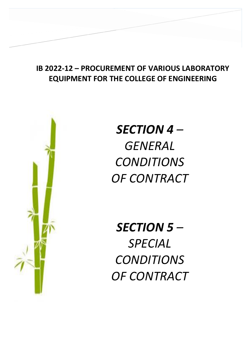# **IB 2022-12 – PROCUREMENT OF VARIOUS LABORATORY EQUIPMENT FOR THE COLLEGE OF ENGINEERING**

**SECTION IV – GENERAL CONDITIONS OF** 



*SECTION 4 – GENERAL CONDITIONS OF CONTRACT*

*SECTION 5 – SPECIAL CONDITIONS OF CONTRACT*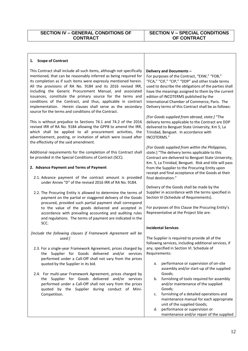## **1. Scope of Contract**

This Contract shall include all such items, although not specifically mentioned, that can be reasonably inferred as being required for its completion as if such items were expressly mentioned herein. All the provisions of RA No. 9184 and its 2016 revised IRR, including the Generic Procurement Manual, and associated issuances, constitute the primary source for the terms and conditions of the Contract, and thus, applicable in contract implementation. Herein clauses shall serve as the secondary source for the terms and conditions of the Contract.

This is without prejudice to Sections 74.1 and 74.2 of the 2016 revised IRR of RA No. 9184 allowing the GPPB to amend the IRR, which shall be applied to all procurement activities, the advertisement, posting, or invitation of which were issued after the effectivity of the said amendment.

Additional requirements for the completion of this Contract shall be provided in the Special Conditions of Contract (SCC).

### **2. Advance Payment and Terms of Payment**

- 2.1. Advance payment of the contract amount is provided under Annex "D" of the revised 2016 IRR of RA No. 9184.
- 2.2. The Procuring Entity is allowed to determine the terms of payment on the partial or staggered delivery of the Goods procured, provided such partial payment shall correspond to the value of the goods delivered and accepted in accordance with prevailing accounting and auditing rules and regulations. The terms of payment are indicated in the SCC.

*[Include the following clauses if Framework Agreement will be used:]* 

- 2.3. For a single-year Framework Agreement, prices charged by the Supplier for Goods delivered and/or services performed under a Call-Off shall not vary from the prices quoted by the Supplier in its bid.
- 2.4. For multi-year Framework Agreement, prices charged by the Supplier for Goods delivered and/or services performed under a Call-Off shall not vary from the prices quoted by the Supplier during conduct of Mini-Competition.

#### **Delivery and Documents –**

For purposes of the Contract, "EXW," "FOB," "FCA," "CIF," "CIP," "DDP" and other trade terms used to describe the obligations of the parties shall have the meanings assigned to them by the current edition of INCOTERMS published by the International Chamber of Commerce, Paris. The Delivery terms of this Contract shall be as follows:

*[For Goods supplied from abroad, state:]* "The delivery terms applicable to the Contract are DDP delivered to Benguet State University, Km 5, La Trinidad, Benguet. In accordance with INCOTERMS."

*[For Goods supplied from within the Philippines, state:*] "The delivery terms applicable to this Contract are delivered to Benguet State University, Km. 5, La Trinidad, Benguet*.* Risk and title will pass from the Supplier to the Procuring Entity upon receipt and final acceptance of the Goods at their final destination."

Delivery of the Goods shall be made by the Supplier in accordance with the terms specified in Section VI (Schedule of Requirements).

For purposes of this Clause the Procuring Entity's Representative at the Project Site are:

### **Incidental Services**

The Supplier is required to provide all of the following services, including additional services, if any, specified in Section VI. Schedule of Requirements:

- a. performance or supervision of on-site assembly and/or start-up of the supplied Goods;
- b. furnishing of tools required for assembly and/or maintenance of the supplied Goods;
- c. furnishing of a detailed operations and maintenance manual for each appropriate unit of the supplied Goods;
- d. performance or supervision or maintenance and/or repair of the supplied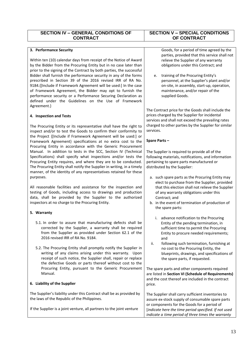# **SECTION IV – GENERAL CONDITIONS OF CONTRACT**

## **3. Performance Security**

Within ten (10) calendar days from receipt of the Notice of Award by the Bidder from the Procuring Entity but in no case later than prior to the signing of the Contract by both parties, the successful Bidder shall furnish the performance security in any of the forms prescribed in Section 39 of the 2016 revised IRR of RA No. 9184.{[Include if Framework Agreement will be used:] In the case of Framework Agreement, the Bidder may opt to furnish the performance security or a Performance Securing Declaration as defined under the Guidelines on the Use of Framework Agreement.}

## **4. Inspection and Tests**

The Procuring Entity or its representative shall have the right to inspect and/or to test the Goods to confirm their conformity to the Project {[Include if Framework Agreement will be used:] or Framework Agreement} specifications at no extra cost to the Procuring Entity in accordance with the Generic Procurement Manual. In addition to tests in the SCC, Section IV (Technical Specifications) shall specify what inspections and/or tests the Procuring Entity requires, and where they are to be conducted. The Procuring Entity shall notify the Supplier in writing, in a timely manner, of the identity of any representatives retained for these purposes.

All reasonable facilities and assistance for the inspection and testing of Goods, including access to drawings and production data, shall be provided by the Supplier to the authorized inspectors at no charge to the Procuring Entity.

## **5. Warranty**

- 5.1. In order to assure that manufacturing defects shall be corrected by the Supplier, a warranty shall be required from the Supplier as provided under Section 62.1 of the 2016 revised IRR of RA No. 9184.
- 5.2. The Procuring Entity shall promptly notify the Supplier in writing of any claims arising under this warranty. Upon receipt of such notice, the Supplier shall, repair or replace the defective Goods or parts thereof without cost to the Procuring Entity, pursuant to the Generic Procurement Manual.

## **6. Liability of the Supplier**

The Supplier's liability under this Contract shall be as provided by the laws of the Republic of the Philippines.

If the Supplier is a joint venture, all partners to the joint venture

# **SECTION V – SPECIAL CONDITIONS OF CONTRACT**

Goods, for a period of time agreed by the parties, provided that this service shall not relieve the Supplier of any warranty obligations under this Contract; and

e. training of the Procuring Entity's personnel, at the Supplier's plant and/or on-site, in assembly, start-up, operation, maintenance, and/or repair of the supplied Goods.

The Contract price for the Goods shall include the prices charged by the Supplier for incidental services and shall not exceed the prevailing rates charged to other parties by the Supplier for similar services.

## **Spare Parts –**

The Supplier is required to provide all of the following materials, notifications, and information pertaining to spare parts manufactured or distributed by the Supplier:

- a. such spare parts as the Procuring Entity may elect to purchase from the Supplier, provided that this election shall not relieve the Supplier of any warranty obligations under this Contract; and
- b. in the event of termination of production of the spare parts:
	- i. advance notification to the Procuring Entity of the pending termination, in sufficient time to permit the Procuring Entity to procure needed requirements; and
- ii. following such termination, furnishing at no cost to the Procuring Entity, the blueprints, drawings, and specifications of the spare parts, if requested.

The spare parts and other components required are listed in **Section VI (Schedule of Requirements)** and the cost thereof are included in the contract price.

The Supplier shall carry sufficient inventories to assure ex-stock supply of consumable spare parts or components for the Goods for a period of [*indicate here the time period specified. If not used indicate a time period of three times the warranty*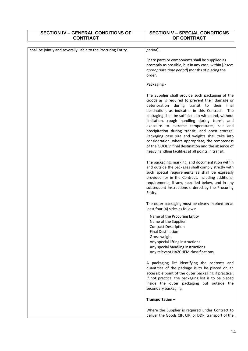| <b>SECTION IV - GENERAL CONDITIONS OF</b><br><b>CONTRACT</b>   | <b>SECTION V - SPECIAL CONDITIONS</b><br>OF CONTRACT                                                                                                                                                                                                                                                                                                                                                                                                                                                                                                                                                                                  |
|----------------------------------------------------------------|---------------------------------------------------------------------------------------------------------------------------------------------------------------------------------------------------------------------------------------------------------------------------------------------------------------------------------------------------------------------------------------------------------------------------------------------------------------------------------------------------------------------------------------------------------------------------------------------------------------------------------------|
| shall be jointly and severally liable to the Procuring Entity. | period].                                                                                                                                                                                                                                                                                                                                                                                                                                                                                                                                                                                                                              |
|                                                                | Spare parts or components shall be supplied as<br>promptly as possible, but in any case, within [insert<br>appropriate time period] months of placing the<br>order.                                                                                                                                                                                                                                                                                                                                                                                                                                                                   |
|                                                                | Packaging -                                                                                                                                                                                                                                                                                                                                                                                                                                                                                                                                                                                                                           |
|                                                                | The Supplier shall provide such packaging of the<br>Goods as is required to prevent their damage or<br>deterioration during transit to their final<br>destination, as indicated in this Contract.<br>The<br>packaging shall be sufficient to withstand, without<br>limitation, rough handling during transit and<br>exposure to extreme temperatures, salt and<br>precipitation during transit, and open storage.<br>Packaging case size and weights shall take into<br>consideration, where appropriate, the remoteness<br>of the GOODS' final destination and the absence of<br>heavy handling facilities at all points in transit. |
|                                                                | The packaging, marking, and documentation within<br>and outside the packages shall comply strictly with<br>such special requirements as shall be expressly<br>provided for in the Contract, including additional<br>requirements, if any, specified below, and in any<br>subsequent instructions ordered by the Procuring<br>Entity.                                                                                                                                                                                                                                                                                                  |
|                                                                | The outer packaging must be clearly marked on at<br>least four (4) sides as follows:                                                                                                                                                                                                                                                                                                                                                                                                                                                                                                                                                  |
|                                                                | Name of the Procuring Entity<br>Name of the Supplier<br><b>Contract Description</b><br><b>Final Destination</b><br>Gross weight<br>Any special lifting instructions<br>Any special handling instructions<br>Any relevant HAZCHEM classifications                                                                                                                                                                                                                                                                                                                                                                                      |
|                                                                | A packaging list identifying the contents and<br>quantities of the package is to be placed on an<br>accessible point of the outer packaging if practical.<br>If not practical the packaging list is to be placed<br>inside the outer packaging but outside the<br>secondary packaging.                                                                                                                                                                                                                                                                                                                                                |
|                                                                | Transportation-                                                                                                                                                                                                                                                                                                                                                                                                                                                                                                                                                                                                                       |
|                                                                | Where the Supplier is required under Contract to<br>deliver the Goods CIF, CIP, or DDP, transport of the                                                                                                                                                                                                                                                                                                                                                                                                                                                                                                                              |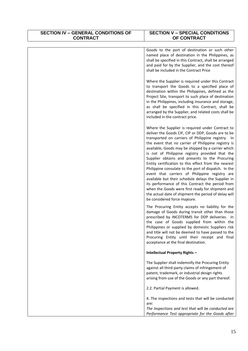| <b>SECTION IV - GENERAL CONDITIONS OF</b><br><b>CONTRACT</b> | <b>SECTION V - SPECIAL CONDITIONS</b><br>OF CONTRACT                                                                                                                                                                                                                                                                                                                                                                                                                                                                                                                                                                                                                                                                                                                                                    |
|--------------------------------------------------------------|---------------------------------------------------------------------------------------------------------------------------------------------------------------------------------------------------------------------------------------------------------------------------------------------------------------------------------------------------------------------------------------------------------------------------------------------------------------------------------------------------------------------------------------------------------------------------------------------------------------------------------------------------------------------------------------------------------------------------------------------------------------------------------------------------------|
|                                                              |                                                                                                                                                                                                                                                                                                                                                                                                                                                                                                                                                                                                                                                                                                                                                                                                         |
|                                                              | Goods to the port of destination or such other<br>named place of destination in the Philippines, as<br>shall be specified in this Contract, shall be arranged<br>and paid for by the Supplier, and the cost thereof<br>shall be included in the Contract Price                                                                                                                                                                                                                                                                                                                                                                                                                                                                                                                                          |
|                                                              | Where the Supplier is required under this Contract<br>to transport the Goods to a specified place of<br>destination within the Philippines, defined as the<br>Project Site, transport to such place of destination<br>in the Philippines, including insurance and storage,<br>as shall be specified in this Contract, shall be<br>arranged by the Supplier, and related costs shall be<br>included in the contract price.                                                                                                                                                                                                                                                                                                                                                                               |
|                                                              | Where the Supplier is required under Contract to<br>deliver the Goods CIF, CIP or DDP, Goods are to be<br>transported on carriers of Philippine registry. In<br>the event that no carrier of Philippine registry is<br>available, Goods may be shipped by a carrier which<br>is not of Philippine registry provided that the<br>Supplier obtains and presents to the Procuring<br>Entity certification to this effect from the nearest<br>Philippine consulate to the port of dispatch. In the<br>event that carriers of Philippine registry are<br>available but their schedule delays the Supplier in<br>its performance of this Contract the period from<br>when the Goods were first ready for shipment and<br>the actual date of shipment the period of delay will<br>be considered force majeure. |
|                                                              | The Procuring Entity accepts no liability for the<br>damage of Goods during transit other than those<br>prescribed by INCOTERMS for DDP deliveries. In<br>the case of Goods supplied from within the<br>Philippines or supplied by domestic Suppliers risk<br>and title will not be deemed to have passed to the<br>Procuring Entity until their receipt and final<br>acceptance at the final destination.                                                                                                                                                                                                                                                                                                                                                                                              |
|                                                              | Intellectual Property Rights -                                                                                                                                                                                                                                                                                                                                                                                                                                                                                                                                                                                                                                                                                                                                                                          |
|                                                              | The Supplier shall indemnify the Procuring Entity<br>against all third-party claims of infringement of<br>patent, trademark, or industrial design rights<br>arising from use of the Goods or any part thereof.                                                                                                                                                                                                                                                                                                                                                                                                                                                                                                                                                                                          |
|                                                              | 2.2. Partial Payment is allowed.                                                                                                                                                                                                                                                                                                                                                                                                                                                                                                                                                                                                                                                                                                                                                                        |
|                                                              | 4. The inspections and tests that will be conducted<br>are:                                                                                                                                                                                                                                                                                                                                                                                                                                                                                                                                                                                                                                                                                                                                             |
|                                                              | The Inspections and test that will be conducted are<br>Performance Test appropriate for the Goods after                                                                                                                                                                                                                                                                                                                                                                                                                                                                                                                                                                                                                                                                                                 |